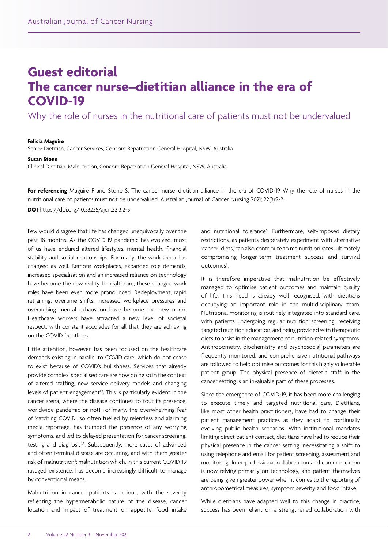## **Guest editorial The cancer nurse–dietitian alliance in the era of COVID-19**

Why the role of nurses in the nutritional care of patients must not be undervalued

## **Felicia Maguire**

Senior Dietitian, Cancer Services, Concord Repatriation General Hospital, NSW, Australia

## **Susan Stone**

Clinical Dietitian, Malnutrition, Concord Repatriation General Hospital, NSW, Australia

For referencing Maguire F and Stone S. The cancer nurse–dietitian alliance in the era of COVID-19 Why the role of nurses in the nutritional care of patients must not be undervalued. Australian Journal of Cancer Nursing 2021; 22(3):2-3.

**DOI** https://doi.org/10.33235/ajcn.22.3.2-3

Few would disagree that life has changed unequivocally over the past 18 months. As the COVID‑19 pandemic has evolved, most of us have endured altered lifestyles, mental health, financial stability and social relationships. For many, the work arena has changed as well. Remote workplaces, expanded role demands, increased specialisation and an increased reliance on technology have become the new reality. In healthcare, these changed work roles have been even more pronounced. Redeployment, rapid retraining, overtime shifts, increased workplace pressures and overarching mental exhaustion have become the new norm. Healthcare workers have attracted a new level of societal respect, with constant accolades for all that they are achieving on the COVID frontlines.

Little attention, however, has been focused on the healthcare demands existing in parallel to COVID care, which do not cease to exist because of COVID's bullishness. Services that already provide complex, specialised care are now doing so in the context of altered staffing, new service delivery models and changing levels of patient engagement<sup>1,2</sup>. This is particularly evident in the cancer arena, where the disease continues to tout its presence, worldwide pandemic or not! For many, the overwhelming fear of 'catching COVID', so often fuelled by relentless and alarming media reportage, has trumped the presence of any worrying symptoms, and led to delayed presentation for cancer screening, testing and diagnosis<sup>3,4</sup>. Subsequently, more cases of advanced and often terminal disease are occurring, and with them greater risk of malnutrition<sup>5</sup>; malnutrition which, in this current COVID-19 ravaged existence, has become increasingly difficult to manage by conventional means.

Malnutrition in cancer patients is serious, with the severity reflecting the hypermetabolic nature of the disease, cancer location and impact of treatment on appetite, food intake

and nutritional tolerance<sup>6</sup>. Furthermore, self-imposed dietary restrictions, as patients desperately experiment with alternative 'cancer' diets, can also contribute to malnutrition rates, ultimately compromising longer-term treatment success and survival outcomes<sup>7</sup>. .

It is therefore imperative that malnutrition be effectively managed to optimise patient outcomes and maintain quality of life. This need is already well recognised, with dietitians occupying an important role in the multidisciplinary team. Nutritional monitoring is routinely integrated into standard care, with patients undergoing regular nutrition screening, receiving targeted nutrition education, and being provided with therapeutic diets to assist in the management of nutrition-related symptoms. Anthropometry, biochemistry and psychosocial parameters are frequently monitored, and comprehensive nutritional pathways are followed to help optimise outcomes for this highly vulnerable patient group. The physical presence of dietetic staff in the cancer setting is an invaluable part of these processes.

Since the emergence of COVID‑19, it has been more challenging to execute timely and targeted nutritional care. Dietitians, like most other health practitioners, have had to change their patient management practices as they adapt to continually evolving public health scenarios. With institutional mandates limiting direct patient contact, dietitians have had to reduce their physical presence in the cancer setting, necessitating a shift to using telephone and email for patient screening, assessment and monitoring. Inter-professional collaboration and communication is now relying primarily on technology, and patient themselves are being given greater power when it comes to the reporting of anthropometrical measures, symptom severity and food intake.

While dietitians have adapted well to this change in practice, success has been reliant on a strengthened collaboration with